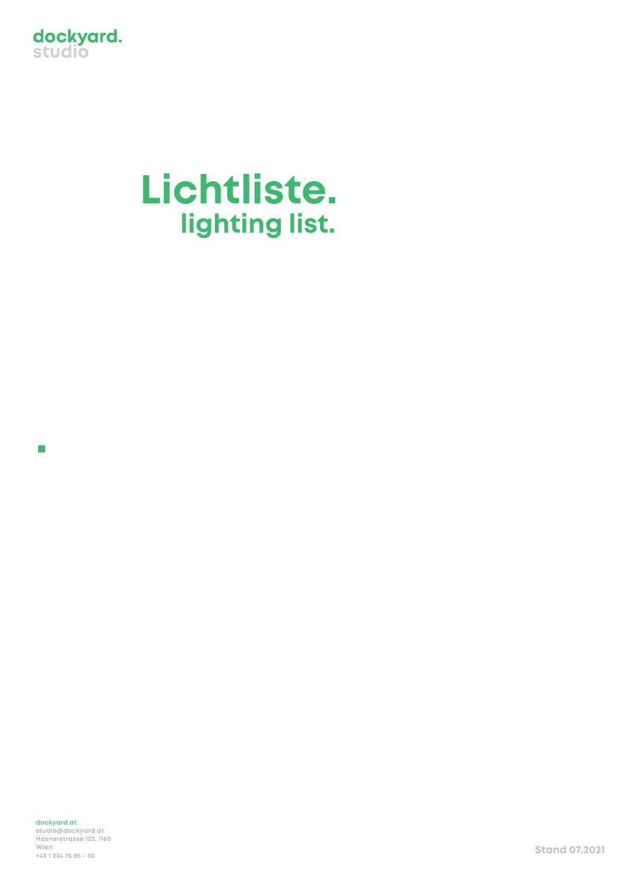

## **Lichtliste. lighting list.**

 $\overline{\phantom{a}}$ 

**dockyard.at studio@dockyard.at Hasnerstrasse 123, 1160 Wien +43 1 234 75 85 - 50 Stand 07.2021**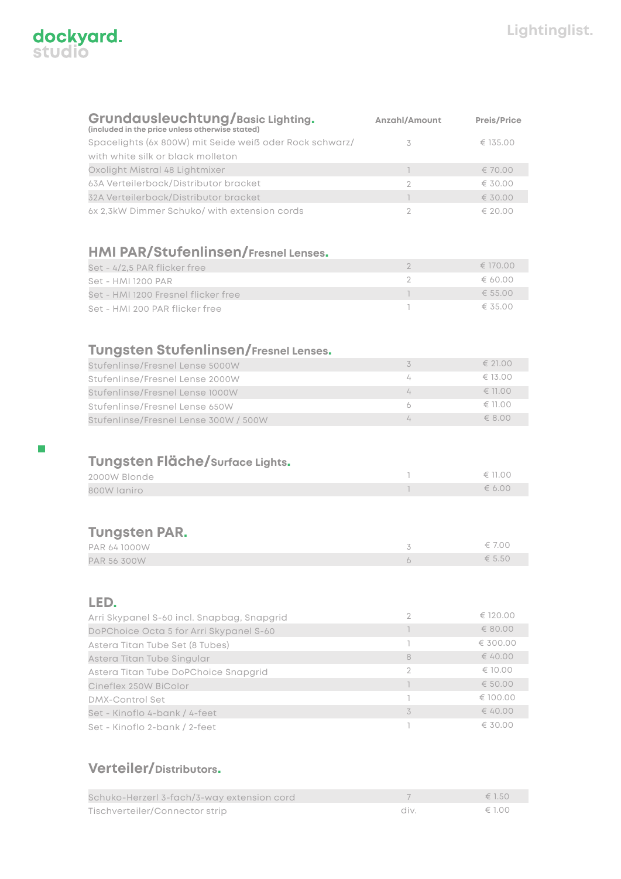| dockyard.<br>studio |  |
|---------------------|--|
|                     |  |

 $\overline{\phantom{a}}$ 

| Grundausleuchtung/Basic Lighting.<br>(included in the price unless otherwise stated) | Anzahl/Amount  | <b>Preis/Price</b> |
|--------------------------------------------------------------------------------------|----------------|--------------------|
| Spacelights (6x 800W) mit Seide weiß oder Rock schwarz/                              | 3              | € 135.00           |
| with white silk or black molleton                                                    |                |                    |
| Oxolight Mistral 48 Lightmixer                                                       | $\overline{1}$ | € 70.00            |
| 63A Verteilerbock/Distributor bracket                                                | $\overline{2}$ | € 30.00            |
| 32A Verteilerbock/Distributor bracket                                                | T              | € 30.00            |
| 6x 2.3kW Dimmer Schuko/ with extension cords                                         | $\overline{2}$ | € 20.00            |
| <b>HMI PAR/Stufenlinsen/Fresnel Lenses.</b>                                          |                |                    |
| Set - 4/2,5 PAR flicker free                                                         | $\overline{2}$ | € 170.00           |
| Set - HMI 1200 PAR                                                                   | $\overline{2}$ | 60.00              |
| Set - HMI 1200 Fresnel flicker free                                                  | $\overline{1}$ | € 55.00            |
| Set - HMI 200 PAR flicker free                                                       | ı              | € 35.00            |
| <b>Tungsten Stufenlinsen/Fresnel Lenses.</b>                                         |                |                    |
| Stufenlinse/Fresnel Lense 5000W                                                      | 3              | € 21.00            |
| Stufenlinse/Fresnel Lense 2000W                                                      | 4              | € 13.00            |
| Stufenlinse/Fresnel Lense 1000W                                                      | 4              | € 11.00            |
| Stufenlinse/Fresnel Lense 650W                                                       | 6              | € 11.00            |
| Stufenlinse/Fresnel Lense 300W / 500W                                                | $\sqrt{ }$     | $\epsilon$ 8.00    |
| Tungsten Fläche/surface Lights.<br>2000W Blonde<br>800W laniro                       | T<br>1         | € 11.00<br>6.00    |
|                                                                                      |                |                    |
| <b>Tungsten PAR.</b>                                                                 |                |                    |
| PAR 64 1000W                                                                         | 3              | $\epsilon$ 7.00    |
| PAR 56 300W                                                                          | 6              | € 5.50             |
| LED.                                                                                 |                |                    |
| Arri Skypanel S-60 incl. Snapbag, Snapgrid                                           | $\overline{2}$ | € 120.00           |
| DoPChoice Octa 5 for Arri Skypanel S-60                                              | $\overline{1}$ | \$80.00            |
| Astera Titan Tube Set (8 Tubes)                                                      | L.             | € 300.00           |
| Astera Titan Tube Singular                                                           | 8              | € 40.00            |
| Astera Titan Tube DoPChoice Snapgrid                                                 | $\overline{2}$ | € 10.00            |
| Cineflex 250W BiColor                                                                | $\overline{1}$ | € 50.00            |
| <b>DMX-Control Set</b>                                                               | L.             | € 100.00           |
| Set - Kinoflo 4-bank / 4-feet                                                        | 3              | € 40.00            |
| Set - Kinoflo 2-bank / 2-feet<br>Verteiler/Distributors.                             | 1              | € 30.00            |
|                                                                                      |                |                    |

## 7 div. € 1.50 € 1.00 Schuko-Herzerl 3-fach/3-way extension cord Tischverteiler/Connector strip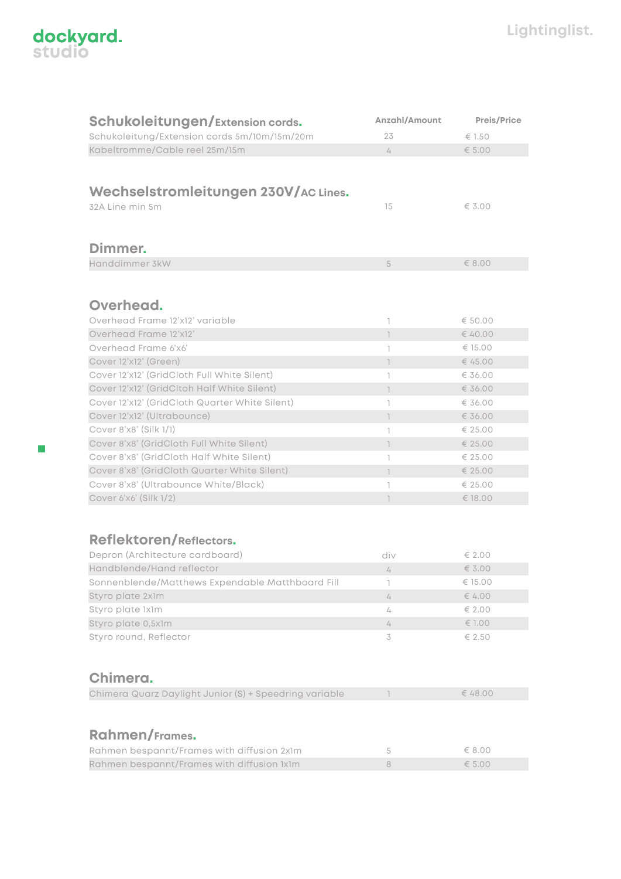

 $\mathbb{R}^2$ 

| <b>Schukoleitungen/Extension cords.</b>                | Anzahl/Amount  | <b>Preis/Price</b> |
|--------------------------------------------------------|----------------|--------------------|
| Schukoleitung/Extension cords 5m/10m/15m/20m           | 23             | $\epsilon$ 1.50    |
| Kabeltromme/Cable reel 25m/15m                         | 4              | € 5.00             |
|                                                        |                |                    |
|                                                        |                |                    |
| Wechselstromleitungen 230V/AC Lines.                   |                |                    |
| 32A Line min 5m                                        | 15             | € $3.00$           |
|                                                        |                |                    |
|                                                        |                |                    |
|                                                        |                |                    |
| Dimmer.                                                |                |                    |
| Handdimmer 3kW                                         | 5              | € 8.00             |
|                                                        |                |                    |
|                                                        |                |                    |
| Overhead.                                              |                |                    |
| Overhead Frame 12'x12' variable                        | T              | € 50.00            |
| Overhead Frame 12'x12'                                 | $\mathbb{I}$   | € 40.00            |
| Overhead Frame 6'x6'                                   | T              | € 15.00            |
| Cover 12'x12' (Green)                                  | $\mathbb{I}$   | € 45.00            |
| Cover 12'x12' (GridCloth Full White Silent)            | T              | € 36.00            |
| Cover 12'x12' (GridCltoh Half White Silent)            | $\mathbb{L}$   | € 36.00            |
| Cover 12'x12' (GridCloth Quarter White Silent)         | T              | € 36.00            |
| Cover 12'x12' (Ultrabounce)                            | $\overline{1}$ | € 36.00            |
| Cover 8'x8' (Silk 1/1)                                 | T              | € 25.00            |
| Cover 8'x8' (GridCloth Full White Silent)              | $\mathbb{I}$   | € 25.00            |
| Cover 8'x8' (GridCloth Half White Silent)              | T              | € 25.00            |
| Cover 8'x8' (GridCloth Quarter White Silent)           | $\overline{1}$ | € 25.00            |
| Cover 8'x8' (Ultrabounce White/Black)                  | T              | € 25.00            |
| Cover 6'x6' (Silk 1/2)                                 | $\overline{1}$ | € 18.00            |
|                                                        |                |                    |
|                                                        |                |                    |
|                                                        |                |                    |
| <b>Reflektoren/Reflectors.</b>                         |                |                    |
| Depron (Architecture cardboard)                        | div            | € 2.00             |
| Handblende/Hand reflector                              | 4              | € $3.00$           |
| Sonnenblende/Matthews Expendable Matthboard Fill       | L              | € 15.00            |
| Styro plate 2x1m                                       | 4              | € $4.00$           |
| Styro plate 1x1m                                       | 4              | € 2.00             |
| Styro plate 0,5x1m                                     | 4              | € 1.00             |
| Styro round, Reflector                                 | 3              | € 2.50             |
|                                                        |                |                    |
|                                                        |                |                    |
| Chimera.                                               |                |                    |
| Chimera Quarz Daylight Junior (S) + Speedring variable |                | € 48.00            |
|                                                        |                |                    |
|                                                        |                |                    |
| <b>Rahmen/Frames.</b>                                  |                |                    |
|                                                        |                |                    |
| Rahmen bespannt/Frames with diffusion 2x1m             | 5              | € 8.00             |
| Rahmen bespannt/Frames with diffusion 1x1m             | 8              | € $5.00$           |
|                                                        |                |                    |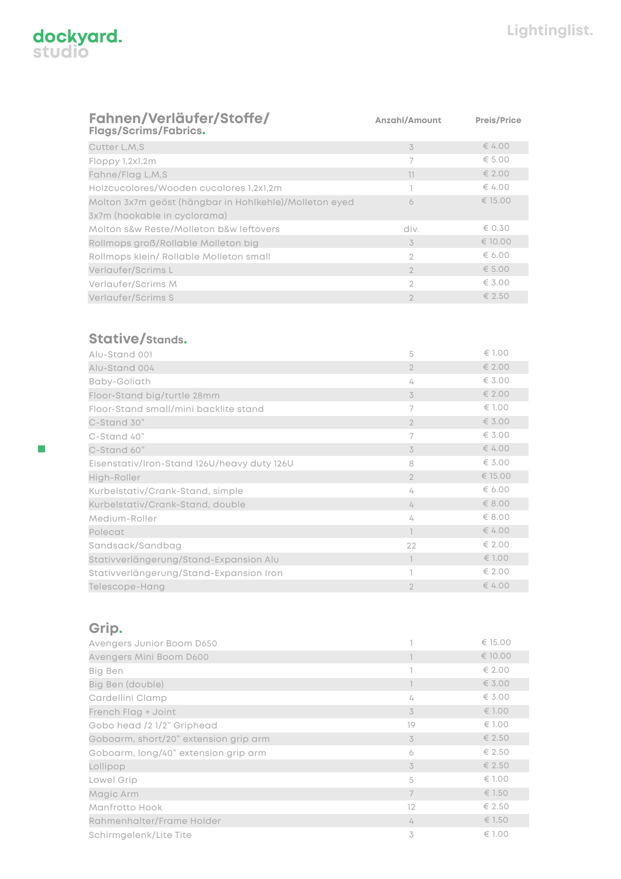

| Anzahl/Amount  | <b>Preis/Price</b> |
|----------------|--------------------|
| 3              | € 4.00             |
| 7              | € 5.00             |
| 11             | $\epsilon$ 2.00    |
|                | $\epsilon$ 4.00    |
| 6              | € 15.00            |
|                |                    |
| div.           | $\epsilon$ 0.30    |
| 3              | € 10.00            |
| 2              | € 6.00             |
| $\mathfrak{D}$ | $\epsilon$ 5.00    |
| 2              | $\epsilon$ 3.00    |
| $\mathcal{P}$  | € 2.50             |
|                |                    |

## **Stative/Stands.**

| Alu-Stand 001                               | 5              | $\epsilon$ 1.00 |
|---------------------------------------------|----------------|-----------------|
| Alu-Stand 004                               | $\overline{2}$ | € 2.00          |
| Baby-Goliath                                | 4              | $\epsilon$ 3.00 |
| Floor-Stand big/turtle 28mm                 | 3              | € 2.00          |
| Floor-Stand small/mini backlite stand       | $\overline{7}$ | $\epsilon$ 1.00 |
| C-Stand 30"                                 | $\overline{2}$ | $\epsilon$ 3.00 |
| C-Stand 40"                                 | 7              | $\epsilon$ 3.00 |
| C-Stand 60"                                 | 3              | € 4.00          |
| Eisenstativ/Iron-Stand 126U/heavy duty 126U | 8              | $\epsilon$ 3.00 |
| High-Roller                                 | $\overline{2}$ | € 15.00         |
| Kurbelstativ/Crank-Stand, simple            | 4              | 6.00            |
| Kurbelstativ/Crank-Stand, double            | 4              | $\epsilon$ 8.00 |
| Medium-Roller                               | 4              | $\epsilon$ 8.00 |
| Polecat                                     |                | € 4.00          |
| Sandsack/Sandbag                            | 22             | € 2.00          |
| Stativverlängerung/Stand-Expansion Alu      |                | € 1.00          |
| Stativverlängerung/Stand-Expansion Iron     |                | $\epsilon$ 2.00 |
| Telescope-Hang                              | $\overline{2}$ | € 4.00          |

## **Grip.**

| Avengers Junior Boom D650             |                | € 15.00         |
|---------------------------------------|----------------|-----------------|
| Avengers Mini Boom D600               |                | € 10.00         |
| Big Ben                               |                | $\epsilon$ 2.00 |
| Big Ben (double)                      |                | $\epsilon$ 3.00 |
| Cardellini Clamp                      | 4              | $\epsilon$ 3.00 |
| French Flag + Joint                   | 3              | € 1.00          |
| Gobo head /2 1/2" Griphead            | 19             | $\epsilon$ 1.00 |
| Goboarm, short/20" extension grip arm | 3              | € 2.50          |
| Goboarm, long/40" extension grip arm  | 6              | € 2.50          |
| Lollipop                              | 3              | $\epsilon$ 2.50 |
| Lowel Grip                            | 5              | $\epsilon$ 1.00 |
| Magic Arm                             | $\overline{7}$ | € 1.50          |
| Manfrotto Hook                        | 12             | $\epsilon$ 2.50 |
| Rahmenhalter/Frame Holder             | 4              | € 1.50          |
| Schirmgelenk/Lite Tite                | 3              | $\epsilon$ 1.00 |